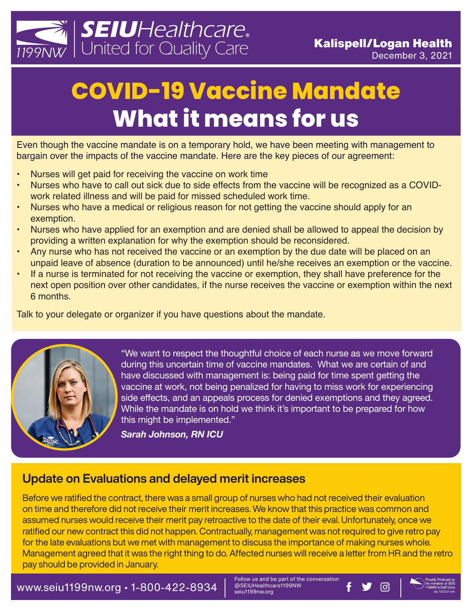

# **COVID-19 Vaccine Mandate What it means for us**

Even though the vaccine mandate is on a temporary hold, we have been meeting with management to bargain over the impacts of the vaccine mandate. Here are the key pieces of our agreement:

- Nurses will get paid for receiving the vaccine on work time
- Nurses who have to call out sick due to side effects from the vaccine will be recognized as a COVIDwork related illness and will be paid for missed scheduled work time.
- Nurses who have a medical or religious reason for not getting the vaccine should apply for an exemption.
- Nurses who have applied for an exemption and are denied shall be allowed to appeal the decision by providing a written explanation for why the exemption should be reconsidered.
- Any nurse who has not received the vaccine or an exemption by the due date will be placed on an unpaid leave of absence (duration to be announced) until he/she receives an exemption or the vaccine.
- If a nurse is terminated for not receiving the vaccine or exemption, they shall have preference for the next open position over other candidates, if the nurse receives the vaccine or exemption within the next 6 months.

Talk to your delegate or organizer if you have questions about the mandate.



"We want to respect the thoughtful choice of each nurse as we move forward during this uncertain time of vaccine mandates. What we are certain of and have discussed with management is: being paid for time spent getting the vaccine at work, not being penalized for having to miss work for experiencing side effects, and an appeals process for denied exemptions and they agreed. While the mandate is on hold we think it's important to be prepared for how this might be implemented."

*Sarah Johnson, RN ICU*

#### Update on Evaluations and delayed merit increases

Before we ratified the contract, there was a small group of nurses who had not received their evaluation on time and therefore did not receive their merit increases. We know that this practice was common and assumed nurses would receive their merit pay retroactive to the date of their eval. Unfortunately, once we ratified our new contract this did not happen. Contractually, management was not required to give retro pay for the late evaluations but we met with management to discuss the importance of making nurses whole. Management agreed that it was the right thing to do. Affected nurses will receive a letter from HR and the retro pay should be provided in January.

WWW.Seiu1199nw.org • 1-800-422-8934  $\parallel$  @SEiUHealthcare1199NW F  $\blacktriangleright$  1303

Follow us and be part of the conversation<br>@SEIUHealthcare1199NW